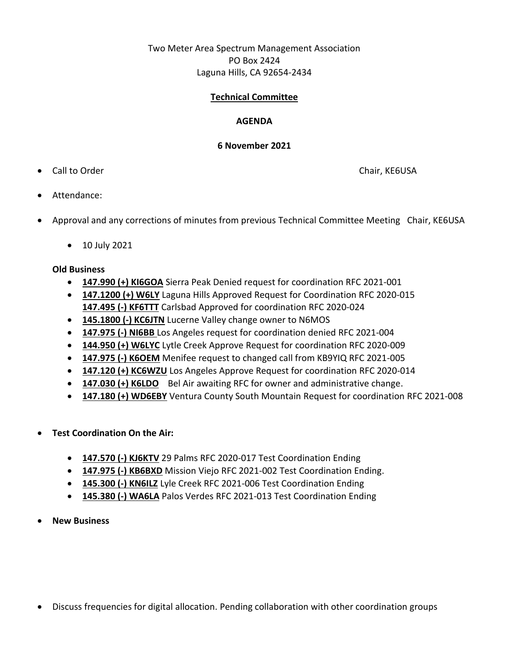# Two Meter Area Spectrum Management Association PO Box 2424 Laguna Hills, CA 92654-2434

### **Technical Committee**

### **AGENDA**

#### **6 November 2021**

• Call to Order Chair, KE6USA

- Attendance:
- Approval and any corrections of minutes from previous Technical Committee Meeting Chair, KE6USA
	- 10 July 2021

## **Old Business**

- **147.990 (+) KI6GOA** Sierra Peak Denied request for coordination RFC 2021-001
- **147.1200 (+) W6LY** Laguna Hills Approved Request for Coordination RFC 2020-015 **147.495 (-) KF6TTT** Carlsbad Approved for coordination RFC 2020-024
- **145.1800 (-) KC6JTN** Lucerne Valley change owner to N6MOS
- **147.975 (-) NI6BB** Los Angeles request for coordination denied RFC 2021-004
- **144.950 (+) W6LYC** Lytle Creek Approve Request for coordination RFC 2020-009
- **147.975 (-) K6OEM** Menifee request to changed call from KB9YIQ RFC 2021-005
- **147.120 (+) KC6WZU** Los Angeles Approve Request for coordination RFC 2020-014
- **147.030 (+) K6LDO** Bel Air awaiting RFC for owner and administrative change.
- **147.180 (+) WD6EBY** Ventura County South Mountain Request for coordination RFC 2021-008
- **Test Coordination On the Air:** 
	- **147.570 (-) KJ6KTV** 29 Palms RFC 2020-017 Test Coordination Ending
	- **147.975 (-) KB6BXD** Mission Viejo RFC 2021-002 Test Coordination Ending.
	- **145.300 (-) KN6ILZ** Lyle Creek RFC 2021-006 Test Coordination Ending
	- **145.380 (-) WA6LA** Palos Verdes RFC 2021-013 Test Coordination Ending
- **New Business**

• Discuss frequencies for digital allocation. Pending collaboration with other coordination groups